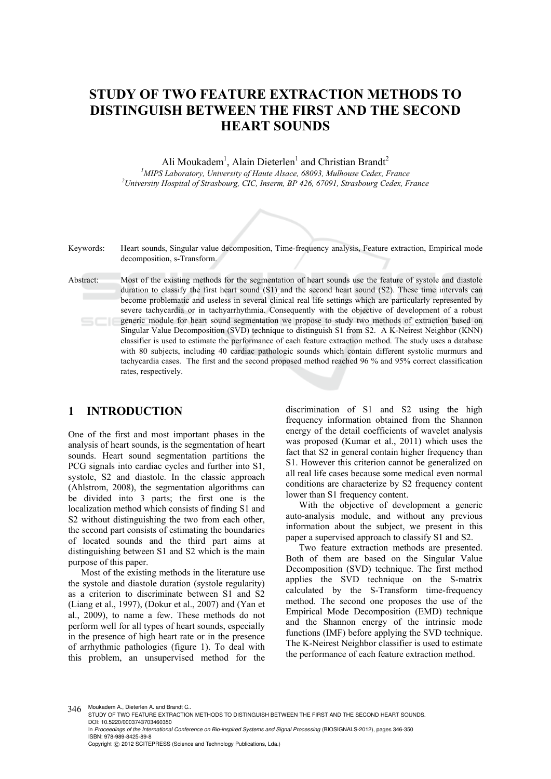# **STUDY OF TWO FEATURE EXTRACTION METHODS TO DISTINGUISH BETWEEN THE FIRST AND THE SECOND HEART SOUNDS**

Ali Moukadem<sup>1</sup>, Alain Dieterlen<sup>1</sup> and Christian Brandt<sup>2</sup> <sup>1</sup> *MIPS Laboratory, University of Haute Alsace, 68093, Mulhouse Cedex, France*<br><sup>2</sup>*University Hespital of Strashown CIC Jnsepp PP 426-67001, Strashown Cedex, E University Hospital of Strasbourg, CIC, Inserm, BP 426, 67091, Strasbourg Cedex, France* 



- Keywords: Heart sounds, Singular value decomposition, Time-frequency analysis, Feature extraction, Empirical mode decomposition, s-Transform.
- Abstract: Most of the existing methods for the segmentation of heart sounds use the feature of systole and diastole duration to classify the first heart sound (S1) and the second heart sound (S2). These time intervals can become problematic and useless in several clinical real life settings which are particularly represented by severe tachycardia or in tachyarrhythmia. Consequently with the objective of development of a robust generic module for heart sound segmentation we propose to study two methods of extraction based on Singular Value Decomposition (SVD) technique to distinguish S1 from S2. A K-Neirest Neighbor (KNN) classifier is used to estimate the performance of each feature extraction method. The study uses a database with 80 subjects, including 40 cardiac pathologic sounds which contain different systolic murmurs and tachycardia cases. The first and the second proposed method reached 96 % and 95% correct classification rates, respectively.

## **1 INTRODUCTION**

One of the first and most important phases in the analysis of heart sounds, is the segmentation of heart sounds. Heart sound segmentation partitions the PCG signals into cardiac cycles and further into S1, systole, S2 and diastole. In the classic approach (Ahlstrom, 2008), the segmentation algorithms can be divided into 3 parts; the first one is the localization method which consists of finding S1 and S2 without distinguishing the two from each other, the second part consists of estimating the boundaries of located sounds and the third part aims at distinguishing between S1 and S2 which is the main purpose of this paper.

Most of the existing methods in the literature use the systole and diastole duration (systole regularity) as a criterion to discriminate between S1 and S2 (Liang et al., 1997), (Dokur et al., 2007) and (Yan et al., 2009), to name a few. These methods do not perform well for all types of heart sounds, especially in the presence of high heart rate or in the presence of arrhythmic pathologies (figure 1). To deal with this problem, an unsupervised method for the

discrimination of S1 and S2 using the high frequency information obtained from the Shannon energy of the detail coefficients of wavelet analysis was proposed (Kumar et al., 2011) which uses the fact that S2 in general contain higher frequency than S1. However this criterion cannot be generalized on all real life cases because some medical even normal conditions are characterize by S2 frequency content lower than S1 frequency content.

With the objective of development a generic auto-analysis module, and without any previous information about the subject, we present in this paper a supervised approach to classify S1 and S2.

Two feature extraction methods are presented. Both of them are based on the Singular Value Decomposition (SVD) technique. The first method applies the SVD technique on the S-matrix calculated by the S-Transform time-frequency method. The second one proposes the use of the Empirical Mode Decomposition (EMD) technique and the Shannon energy of the intrinsic mode functions (IMF) before applying the SVD technique. The K-Neirest Neighbor classifier is used to estimate the performance of each feature extraction method.

346 Moukadem A., Dieterlen A. and Brandt C..

STUDY OF TWO FEATURE EXTRACTION METHODS TO DISTINGUISH BETWEEN THE FIRST AND THE SECOND HEART SOUNDS. DOI: 10.5220/0003743703460350

In *Proceedings of the International Conference on Bio-inspired Systems and Signal Processing* (BIOSIGNALS-2012), pages 346-350 ISBN: 978-989-8425-89-8

Copyright © 2012 SCITEPRESS (Science and Technology Publications, Lda.)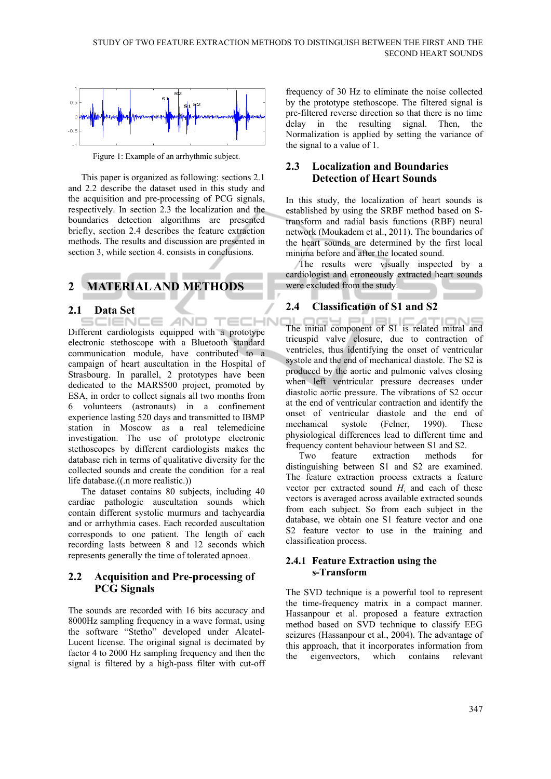

Figure 1: Example of an arrhythmic subject.

This paper is organized as following: sections 2.1 and 2.2 describe the dataset used in this study and the acquisition and pre-processing of PCG signals, respectively. In section 2.3 the localization and the boundaries detection algorithms are presented briefly, section 2.4 describes the feature extraction methods. The results and discussion are presented in section 3, while section 4. consists in conclusions.

## **2 MATERIAL AND METHODS**

### **2.1 Data Set**

TECHN ÷ AND 1FN0 Different cardiologists equipped with a prototype electronic stethoscope with a Bluetooth standard communication module, have contributed to a campaign of heart auscultation in the Hospital of Strasbourg. In parallel, 2 prototypes have been dedicated to the MARS500 project, promoted by ESA, in order to collect signals all two months from 6 volunteers (astronauts) in a confinement experience lasting 520 days and transmitted to IBMP station in Moscow as a real telemedicine investigation. The use of prototype electronic stethoscopes by different cardiologists makes the database rich in terms of qualitative diversity for the collected sounds and create the condition for a real life database.((.n more realistic.))

The dataset contains 80 subjects, including 40 cardiac pathologic auscultation sounds which contain different systolic murmurs and tachycardia and or arrhythmia cases. Each recorded auscultation corresponds to one patient. The length of each recording lasts between 8 and 12 seconds which represents generally the time of tolerated apnoea.

### **2.2 Acquisition and Pre-processing of PCG Signals**

The sounds are recorded with 16 bits accuracy and 8000Hz sampling frequency in a wave format, using the software "Stetho" developed under Alcatel-Lucent license. The original signal is decimated by factor 4 to 2000 Hz sampling frequency and then the signal is filtered by a high-pass filter with cut-off

frequency of 30 Hz to eliminate the noise collected by the prototype stethoscope. The filtered signal is pre-filtered reverse direction so that there is no time delay in the resulting signal. Then, the Normalization is applied by setting the variance of the signal to a value of 1.

## **2.3 Localization and Boundaries Detection of Heart Sounds**

In this study, the localization of heart sounds is established by using the SRBF method based on Stransform and radial basis functions (RBF) neural network (Moukadem et al., 2011). The boundaries of the heart sounds are determined by the first local minima before and after the located sound.

The results were visually inspected by a cardiologist and erroneously extracted heart sounds were excluded from the study.

## **2.4 Classification of S1 and S2**

The initial component of S1 is related mitral and tricuspid valve closure, due to contraction of ventricles, thus identifying the onset of ventricular systole and the end of mechanical diastole. The S2 is produced by the aortic and pulmonic valves closing when left ventricular pressure decreases under diastolic aortic pressure. The vibrations of S2 occur at the end of ventricular contraction and identify the onset of ventricular diastole and the end of mechanical systole (Felner, 1990). These physiological differences lead to different time and frequency content behaviour between S1 and S2.

Two feature extraction methods for distinguishing between S1 and S2 are examined. The feature extraction process extracts a feature vector per extracted sound *Hi* and each of these vectors is averaged across available extracted sounds from each subject. So from each subject in the database, we obtain one S1 feature vector and one S2 feature vector to use in the training and classification process.

#### **2.4.1 Feature Extraction using the s-Transform**

The SVD technique is a powerful tool to represent the time-frequency matrix in a compact manner. Hassanpour et al. proposed a feature extraction method based on SVD technique to classify EEG seizures (Hassanpour et al., 2004). The advantage of this approach, that it incorporates information from the eigenvectors, which contains relevant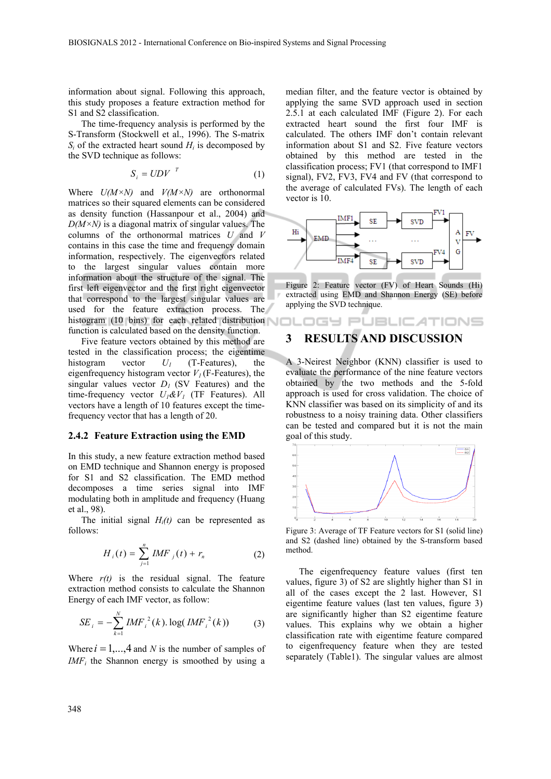information about signal. Following this approach, this study proposes a feature extraction method for S1 and S2 classification.

The time-frequency analysis is performed by the S-Transform (Stockwell et al., 1996). The S-matrix  $S_i$  of the extracted heart sound  $H_i$  is decomposed by the SVD technique as follows:

$$
S_i = UDV^T \tag{1}
$$

Where *U(M×N)* and *V(M×N)* are orthonormal matrices so their squared elements can be considered as density function (Hassanpour et al., 2004) and  $D(M\times N)$  is a diagonal matrix of singular values. The columns of the orthonormal matrices *U* and *V* contains in this case the time and frequency domain information, respectively. The eigenvectors related to the largest singular values contain more information about the structure of the signal. The first left eigenvector and the first right eigenvector that correspond to the largest singular values are used for the feature extraction process. The histogram (10 bins) for each related distribution function is calculated based on the density function.

Five feature vectors obtained by this method are tested in the classification process; the eigentime histogram vector  $U_1$  (T-Features), the eigenfrequency histogram vector  $V_I$  (F-Features), the singular values vector  $D_1$  (SV Features) and the time-frequency vector  $U_1 \& V_1$  (TF Features). All vectors have a length of 10 features except the timefrequency vector that has a length of 20.

#### **2.4.2 Feature Extraction using the EMD**

In this study, a new feature extraction method based on EMD technique and Shannon energy is proposed for S1 and S2 classification. The EMD method decomposes a time series signal into IMF modulating both in amplitude and frequency (Huang et al., 98).

The initial signal  $H_i(t)$  can be represented as follows:

$$
H_{i}(t) = \sum_{j=1}^{n} IMF_{j}(t) + r_{n}
$$
 (2)

Where  $r(t)$  is the residual signal. The feature extraction method consists to calculate the Shannon Energy of each IMF vector, as follow:

$$
SE_{i} = -\sum_{k=1}^{N} IMF_{i}^{2}(k) \cdot \log(IMF_{i}^{2}(k))
$$
 (3)

Where  $i = 1, \ldots, 4$  and *N* is the number of samples of *IMF<sub>i</sub>* the Shannon energy is smoothed by using a

median filter, and the feature vector is obtained by applying the same SVD approach used in section 2.5.1 at each calculated IMF (Figure 2). For each extracted heart sound the first four IMF is calculated. The others IMF don't contain relevant information about S1 and S2. Five feature vectors obtained by this method are tested in the classification process; FV1 (that correspond to IMF1 signal), FV2, FV3, FV4 and FV (that correspond to the average of calculated FVs). The length of each vector is 10.



Figure 2: Feature vector (FV) of Heart Sounds (Hi) extracted using EMD and Shannon Energy (SE) before applying the SVD technique.

OGY PUBLICATIONS

## **3 RESULTS AND DISCUSSION**

A 3-Neirest Neighbor (KNN) classifier is used to evaluate the performance of the nine feature vectors obtained by the two methods and the 5-fold approach is used for cross validation. The choice of KNN classifier was based on its simplicity of and its robustness to a noisy training data. Other classifiers can be tested and compared but it is not the main goal of this study.



Figure 3: Average of TF Feature vectors for S1 (solid line) and S2 (dashed line) obtained by the S-transform based method.

The eigenfrequency feature values (first ten values, figure 3) of S2 are slightly higher than S1 in all of the cases except the 2 last. However, S1 eigentime feature values (last ten values, figure 3) are significantly higher than S2 eigentime feature values. This explains why we obtain a higher classification rate with eigentime feature compared to eigenfrequency feature when they are tested separately (Table1). The singular values are almost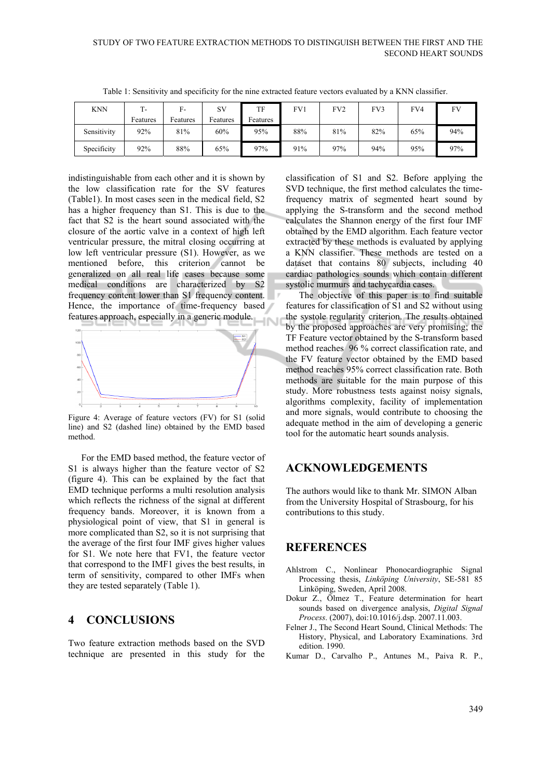| <b>KNN</b>  | - ا      | $F-$     | SV       | TF       | FV1 | FV <sub>2</sub> | FV3 | FV4 | FV  |
|-------------|----------|----------|----------|----------|-----|-----------------|-----|-----|-----|
|             | Features | Features | Features | Features |     |                 |     |     |     |
| Sensitivity | 92%      | 81%      | 60%      | 95%      | 88% | 81%             | 82% | 65% | 94% |
| Specificity | 92%      | 88%      | 65%      | 97%      | 91% | 97%             | 94% | 95% | 97% |

٠,

Table 1: Sensitivity and specificity for the nine extracted feature vectors evaluated by a KNN classifier.

indistinguishable from each other and it is shown by the low classification rate for the SV features (Table1). In most cases seen in the medical field, S2 has a higher frequency than S1. This is due to the fact that S2 is the heart sound associated with the closure of the aortic valve in a context of high left ventricular pressure, the mitral closing occurring at low left ventricular pressure (S1). However, as we mentioned before, this criterion cannot be generalized on all real life cases because some medical conditions are characterized by S2 frequency content lower than S1 frequency content. Hence, the importance of time-frequency based features approach, especially in a generic module. **IN** 



Figure 4: Average of feature vectors (FV) for S1 (solid line) and S2 (dashed line) obtained by the EMD based method.

For the EMD based method, the feature vector of S1 is always higher than the feature vector of S2 (figure 4). This can be explained by the fact that EMD technique performs a multi resolution analysis which reflects the richness of the signal at different frequency bands. Moreover, it is known from a physiological point of view, that S1 in general is more complicated than S2, so it is not surprising that the average of the first four IMF gives higher values for S1. We note here that FV1, the feature vector that correspond to the IMF1 gives the best results, in term of sensitivity, compared to other IMFs when they are tested separately (Table 1).

#### **4 CONCLUSIONS**

Two feature extraction methods based on the SVD technique are presented in this study for the

classification of S1 and S2. Before applying the SVD technique, the first method calculates the timefrequency matrix of segmented heart sound by applying the S-transform and the second method calculates the Shannon energy of the first four IMF obtained by the EMD algorithm. Each feature vector extracted by these methods is evaluated by applying a KNN classifier. These methods are tested on a dataset that contains 80 subjects, including 40 cardiac pathologies sounds which contain different systolic murmurs and tachycardia cases.

The objective of this paper is to find suitable features for classification of S1 and S2 without using the systole regularity criterion. The results obtained by the proposed approaches are very promising; the TF Feature vector obtained by the S-transform based method reaches 96 % correct classification rate, and the FV feature vector obtained by the EMD based method reaches 95% correct classification rate. Both methods are suitable for the main purpose of this study. More robustness tests against noisy signals, algorithms complexity, facility of implementation and more signals, would contribute to choosing the adequate method in the aim of developing a generic tool for the automatic heart sounds analysis.

## **ACKNOWLEDGEMENTS**

The authors would like to thank Mr. SIMON Alban from the University Hospital of Strasbourg, for his contributions to this study.

## **REFERENCES**

- Ahlstrom C., Nonlinear Phonocardiographic Signal Processing thesis, *Linköping University*, SE-581 85 Linköping, Sweden, April 2008.
- Dokur Z., Ölmez T., Feature determination for heart sounds based on divergence analysis, *Digital Signal Process*. (2007), doi:10.1016/j.dsp. 2007.11.003.
- Felner J., The Second Heart Sound, Clinical Methods: The History, Physical, and Laboratory Examinations. 3rd edition. 1990.
- Kumar D., Carvalho P., Antunes M., Paiva R. P.,